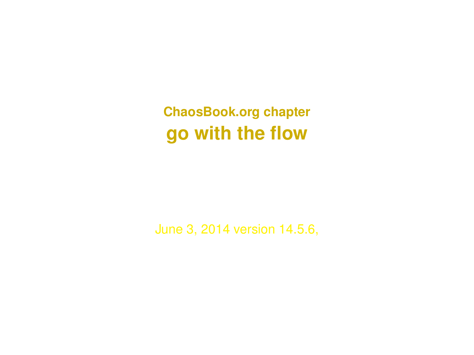**ChaosBook.org chapter go with the flow**

June 3, 2014 version 14.5.6,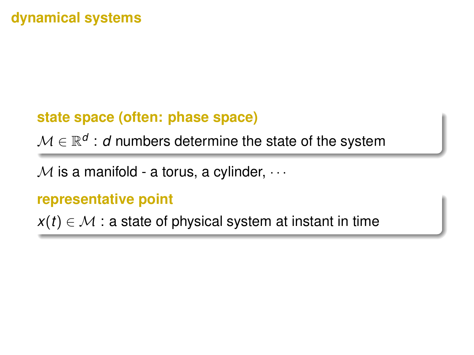## **dynamical systems**

## **state space (often: phase space)**

 $\mathcal{M} \in \mathbb{R}^{\mathcal{d}}$  :  $\mathcal{d}$  numbers determine the state of the system

 $M$  is a manifold - a torus, a cylinder,  $\cdots$ 

#### **representative point**

 $x(t) \in \mathcal{M}$  : a state of physical system at instant in time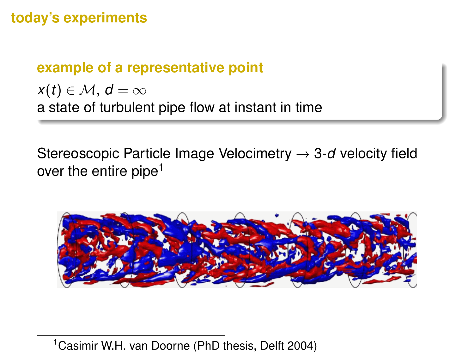## **today's experiments**

### **example of a representative point**

 $x(t) \in \mathcal{M}, d = \infty$ a state of turbulent pipe flow at instant in time

Stereoscopic Particle Image Velocimetry → 3-*d* velocity field over the entire pipe<sup>1</sup>



<sup>1</sup>Casimir W.H. van Doorne (PhD thesis, Delft 2004)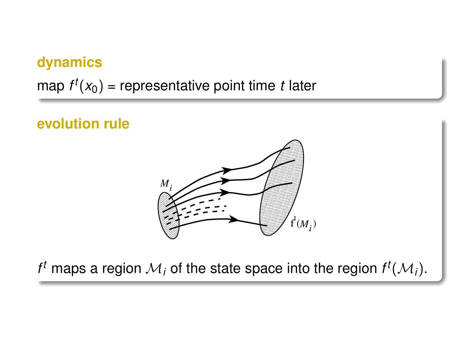## **dynamics**

map  $f^t(x_0)$  = representative point time  $t$  later

### **evolution rule**



 $f^t$  maps a region  $\mathcal{M}_i$  of the state space into the region  $f^t(\mathcal{M}_i)$ .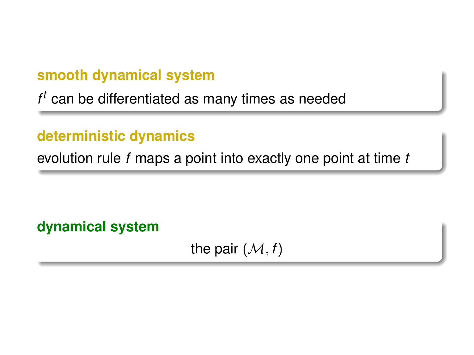## **smooth dynamical system**

*f <sup>t</sup>* can be differentiated as many times as needed

## **deterministic dynamics**

evolution rule *f* maps a point into exactly one point at time *t*

**dynamical system**

the pair  $(M, f)$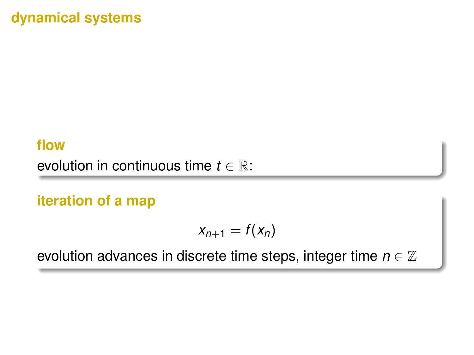## **dynamical systems**

#### **flow**

evolution in continuous time  $t \in \mathbb{R}$ :

## **iteration of a map**

$$
x_{n+1}=f(x_n)
$$

evolution advances in discrete time steps, integer time  $n \in \mathbb{Z}$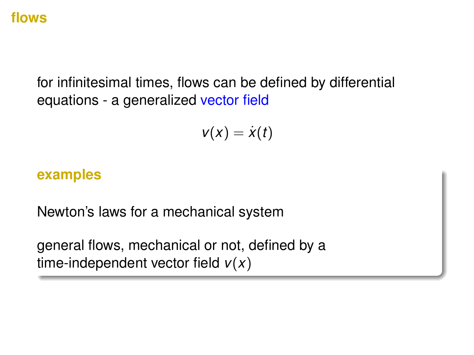#### **flows**

for infinitesimal times, flows can be defined by differential equations - a generalized vector field

$$
v(x)=\dot{x}(t)
$$

#### **examples**

Newton's laws for a mechanical system

general flows, mechanical or not, defined by a time-independent vector field *v*(*x*)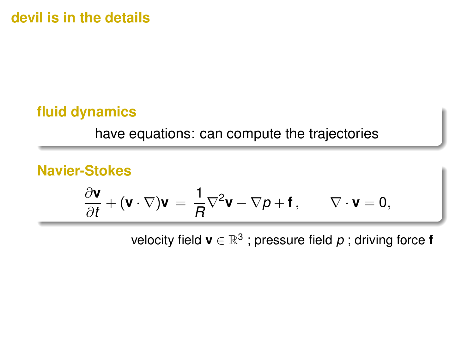**devil is in the details**

## **fluid dynamics**

have equations: can compute the trajectories

## **Navier-Stokes**

$$
\frac{\partial \mathbf{v}}{\partial t} + (\mathbf{v} \cdot \nabla) \mathbf{v} = \frac{1}{R} \nabla^2 \mathbf{v} - \nabla p + \mathbf{f}, \qquad \nabla \cdot \mathbf{v} = 0,
$$

velocity field  $\mathbf{v} \in \mathbb{R}^3$  ; pressure field  $p$  ; driving force **f**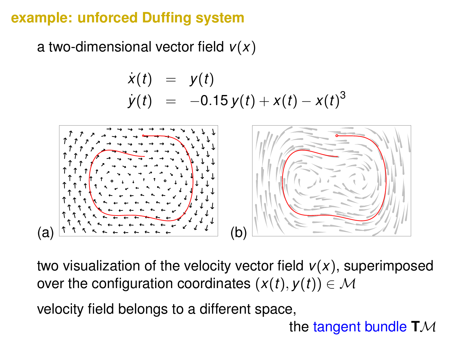## **example: unforced Duffing system**

a two-dimensional vector field *v*(*x*)

$$
\dot{x}(t) = y(t) \n\dot{y}(t) = -0.15 y(t) + x(t) - x(t)^3
$$



two visualization of the velocity vector field *v*(*x*), superimposed over the configuration coordinates  $(x(t), y(t)) \in M$ 

velocity field belongs to a different space,

the tangent bundle **T**M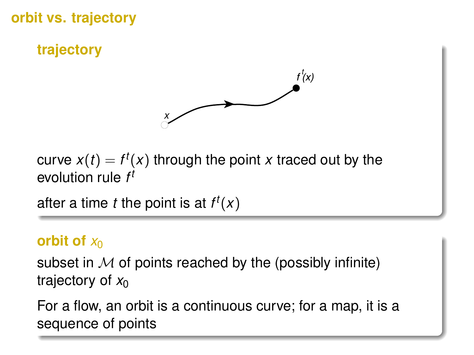**orbit vs. trajectory**

**trajectory**



curve  $x(t) = f^t(x)$  through the point  $x$  traced out by the evolution rule *f t*

after a time *t* the point is at  $f^t(x)$ 

### **orbit of**  $x_0$

subset in  $M$  of points reached by the (possibly infinite) trajectory of  $x_0$ 

For a flow, an orbit is a continuous curve; for a map, it is a sequence of points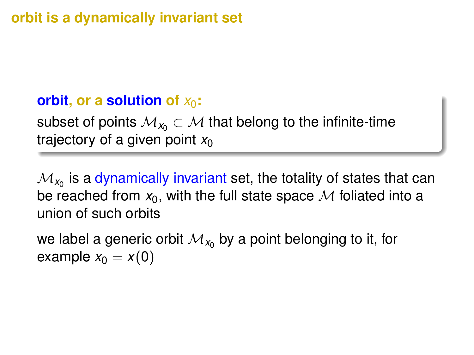# **orbit is a dynamically invariant set**

## **orbit, or a solution of** *x*0**:**

subset of points  $M_{x_0} \subset M$  that belong to the infinite-time trajectory of a given point  $x_0$ 

 $\mathcal{M}_{\mathsf{x}_0}$  is a dynamically invariant set, the totality of states that can be reached from  $x_0$ , with the full state space  $M$  foliated into a union of such orbits

we label a generic orbit  $\mathcal{M}_{\mathsf{x}_0}$  by a point belonging to it, for example  $x_0 = x(0)$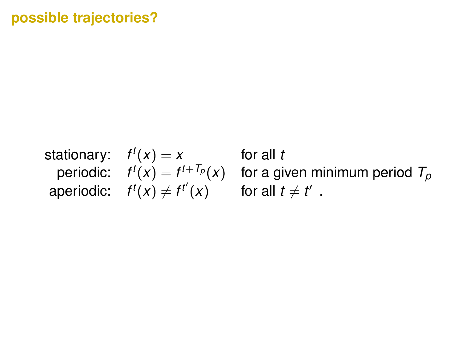#### **possible trajectories?**

```
stationary: f^t(x) = x for all t
periodic: f^t(x) = f^tfor a given minimum period T_p\begin{array}{lll} \mathsf{aperiodic:} & f^t(x) \neq f^{t'}(x) & \quad \text{ for all } t \neq t' \end{array}.
```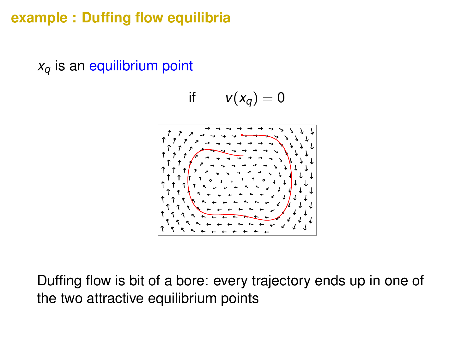## **example : Duffing flow equilibria**

 $x_q$  is an equilibrium point

$$
\text{if }\quad v(x_q)=0
$$



Duffing flow is bit of a bore: every trajectory ends up in one of the two attractive equilibrium points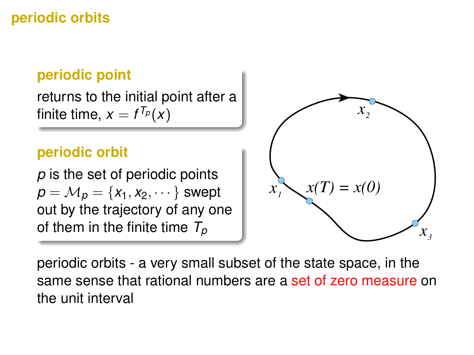# **periodic orbits**

# **periodic point**

returns to the initial point after a finite time,  $x = f^{T_p}(x)$ 

## **periodic orbit**

*p* is the set of periodic points  $p = M_p = \{x_1, x_2, \dots\}$  swept out by the trajectory of any one of them in the finite time  $T_p$ 



periodic orbits - a very small subset of the state space, in the same sense that rational numbers are a set of zero measure on the unit interval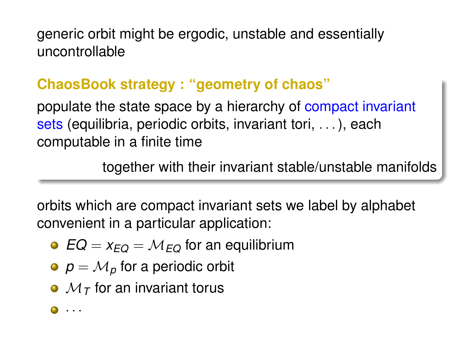generic orbit might be ergodic, unstable and essentially uncontrollable

# **ChaosBook strategy : "geometry of chaos"**

populate the state space by a hierarchy of compact invariant sets (equilibria, periodic orbits, invariant tori, . . . ), each computable in a finite time

together with their invariant stable/unstable manifolds

orbits which are compact invariant sets we label by alphabet convenient in a particular application:

- $EQ = X_{EQ} = M_{EQ}$  for an equilibrium
- $p = M_p$  for a periodic orbit
- $\bullet$   $\mathcal{M}_{\mathcal{T}}$  for an invariant torus

 $\bullet \cdot \cdot \cdot$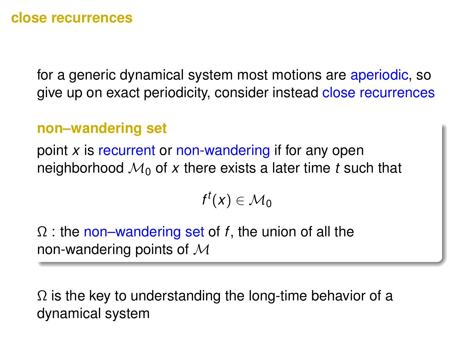#### **close recurrences**

for a generic dynamical system most motions are aperiodic, so give up on exact periodicity, consider instead close recurrences

#### **non–wandering set**

point *x* is recurrent or non-wandering if for any open neighborhood  $\mathcal{M}_0$  of x there exists a later time t such that

$$
f^t(x)\in\mathcal{M}_0
$$

Ω : the non–wandering set of *f*, the union of all the non-wandering points of  $M$ 

 $\Omega$  is the key to understanding the long-time behavior of a dynamical system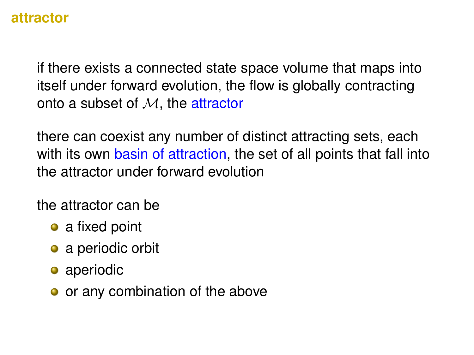#### **attractor**

if there exists a connected state space volume that maps into itself under forward evolution, the flow is globally contracting onto a subset of M, the attractor

there can coexist any number of distinct attracting sets, each with its own basin of attraction, the set of all points that fall into the attractor under forward evolution

the attractor can be

- a fixed point
- a periodic orbit
- aperiodic
- or any combination of the above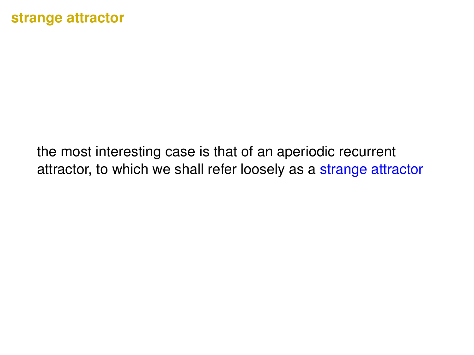the most interesting case is that of an aperiodic recurrent attractor, to which we shall refer loosely as a strange attractor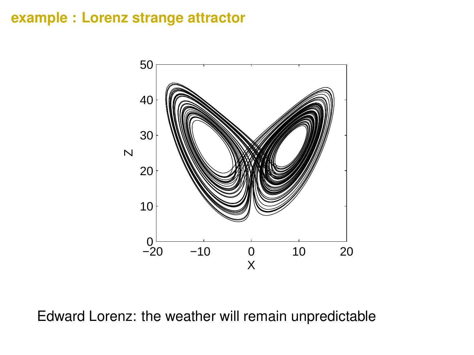### **example : Lorenz strange attractor**



Edward Lorenz: the weather will remain unpredictable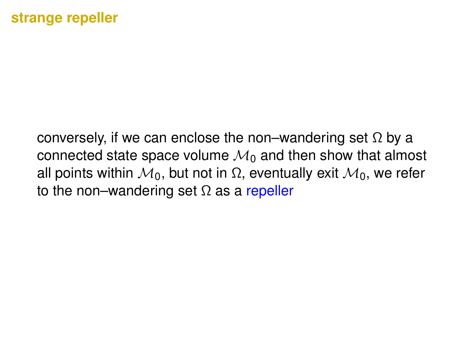#### **strange repeller**

conversely, if we can enclose the non–wandering set  $\Omega$  by a connected state space volume  $\mathcal{M}_0$  and then show that almost all points within  $\mathcal{M}_0$ , but not in Ω, eventually exit  $\mathcal{M}_0$ , we refer to the non–wandering set  $\Omega$  as a repeller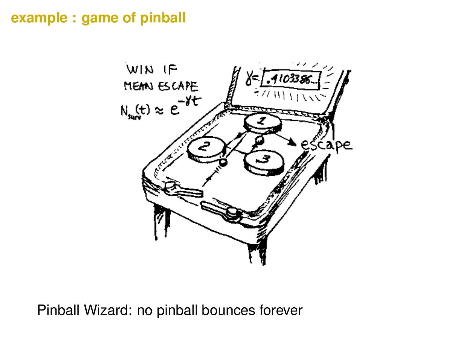## **example : game of pinball**



Pinball Wizard: no pinball bounces forever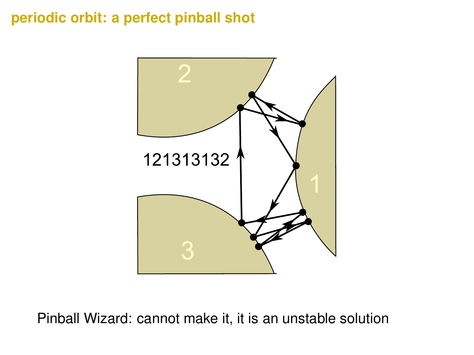## **periodic orbit: a perfect pinball shot**



Pinball Wizard: cannot make it, it is an unstable solution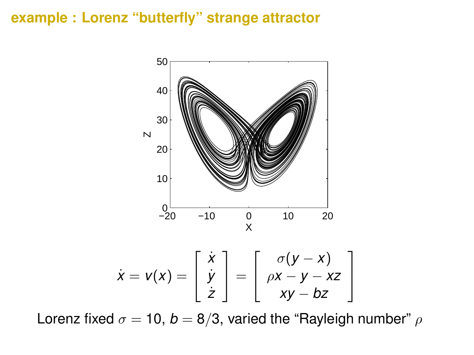#### **example : Lorenz "butterfly" strange attractor**



Lorenz fixed  $\sigma = 10$ ,  $b = 8/3$ , varied the "Rayleigh number"  $\rho$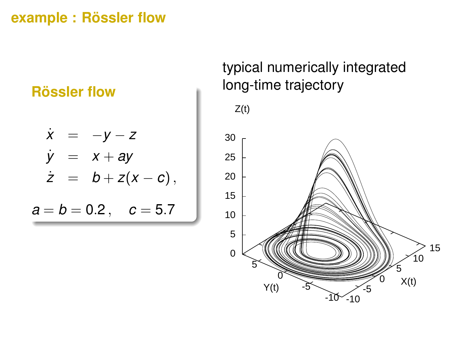## **example : Rössler flow**

## **Rössler flow**

$$
\dot{x} = -y - z \n\dot{y} = x + ay \n\dot{z} = b + z(x - c), \na = b = 0.2, c = 5.7
$$

typical numerically integrated long-time trajectory

 $Z(t)$ 

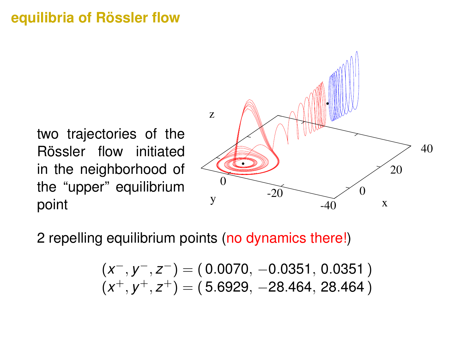## **equilibria of Rössler flow**

two trajectories of the Rössler flow initiated in the neighborhood of the "upper" equilibrium point



2 repelling equilibrium points (no dynamics there!)

$$
(x^-, y^-, z^-) = (0.0070, -0.0351, 0.0351)
$$
  

$$
(x^+, y^+, z^+) = (5.6929, -28.464, 28.464)
$$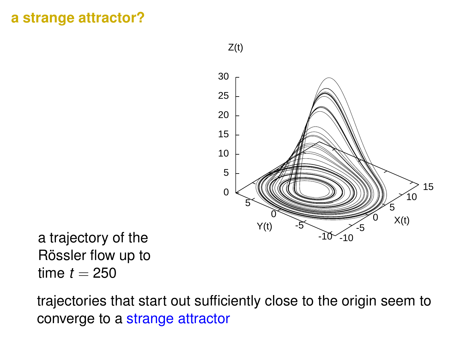#### **a strange attractor?**



a trajectory of the Rössler flow up to time  $t = 250$ 

trajectories that start out sufficiently close to the origin seem to converge to a strange attractor

 $Z(t)$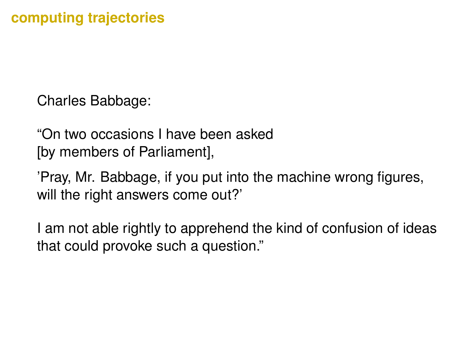Charles Babbage:

"On two occasions I have been asked [by members of Parliament],

'Pray, Mr. Babbage, if you put into the machine wrong figures, will the right answers come out?'

I am not able rightly to apprehend the kind of confusion of ideas that could provoke such a question."